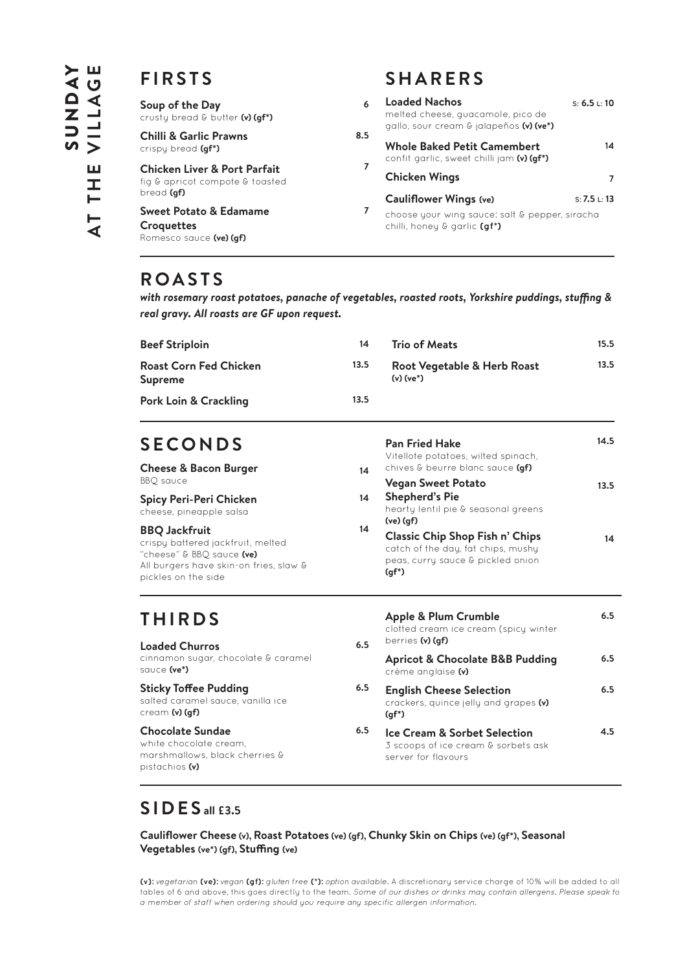## **FIRSTS**

| Soup of the Day<br>crusty bread & butter (v) (qf*)                                       | 6   | <b>Loaded Nachos</b><br>melted cheese, quacamole, pico de<br>gallo, sour cream & jalapeños (v) (ve*) | S: 6.5 L: 10 |
|------------------------------------------------------------------------------------------|-----|------------------------------------------------------------------------------------------------------|--------------|
| <b>Chilli &amp; Garlic Prawns</b><br>crispy bread (gf*)                                  | 8.5 | <b>Whole Baked Petit Camembert</b><br>confit garlic, sweet chilli jam (v) (gf*)                      | 14           |
| <b>Chicken Liver &amp; Port Parfait</b><br>fig & apricot compote & toasted<br>bread (gf) | 7   | <b>Chicken Wings</b>                                                                                 |              |
|                                                                                          |     | <b>Cauliflower Wings (ve)</b>                                                                        | S: 7.5 L: 13 |
| <b>Sweet Potato &amp; Edamame</b><br>Croquettes<br>Romesco sauce (ve) (gf)               | 7   | choose your wing sauce: salt & pepper, siracha<br>chilli, honey & garlic (gf*)                       |              |

## **ROASTS**

*with rosemary roast potatoes, panache of vegetables, roasted roots, Yorkshire puddings, stuffing & real gravy. All roasts are GF upon request.*

| <b>Beef Striploin</b>             | 14   | Trio of Meats                              | 15.5 |
|-----------------------------------|------|--------------------------------------------|------|
| Roast Corn Fed Chicken<br>Supreme | 13.5 | Root Vegetable & Herb Roast<br>$(v)(ve^*)$ | 13.5 |
| Pork Loin & Crackling             | 13.5 |                                            |      |
|                                   |      |                                            |      |

**Pan Fried Hake** 

# **SECONDS**

| <b>Cheese &amp; Bacon Burger</b>                                                                                                                        | 14 | Vitellote potatoes, wilted spinach,<br>chives & beurre blanc sauce (af)                                                       |      |
|---------------------------------------------------------------------------------------------------------------------------------------------------------|----|-------------------------------------------------------------------------------------------------------------------------------|------|
| BBO sauce                                                                                                                                               |    | <b>Vegan Sweet Potato</b>                                                                                                     | 13.5 |
| Spicy Peri-Peri Chicken<br>cheese, pineapple salsa                                                                                                      | 14 | <b>Shepherd's Pie</b><br>hearty lentil pie & seasonal greens<br>$(ve)$ $(af)$                                                 |      |
| <b>BBQ Jackfruit</b><br>crispy battered jackfruit, melted<br>"cheese" & BBO sauce (ve)<br>All burgers have skin-on fries, slaw &<br>pickles on the side | 14 | <b>Classic Chip Shop Fish n' Chips</b><br>catch of the day, fat chips, mushy<br>peas, curry sauce & pickled onion<br>$(qf^*)$ | 14   |

# **THIRDS**

#### **Loaded Churros** cinnamon sugar, chocolate & caramel sauce **(ve\*)**

**Sticky Toffee Pudding**  salted caramel sauce, vanilla ice cream **(v) (gf)**

#### **Chocolate Sundae** white chocolate cream, marshmallows, black cherries & pistachios **(v)**

| 6.5 | Apple & Plum Crumble<br>clotted cream ice cream (spicy winter<br>berries (v) (af)                     | 6.5 |
|-----|-------------------------------------------------------------------------------------------------------|-----|
|     | <b>Apricot &amp; Chocolate B&amp;B Pudding</b><br>crème anglaise (v)                                  | 6.5 |
| 6.5 | <b>English Cheese Selection</b><br>crackers, quince jelly and grapes (v)<br>$(qf^*)$                  | 6.5 |
| 6.5 | <b>Ice Cream &amp; Sorbet Selection</b><br>3 scoops of ice cream & sorbets ask<br>server for flavours | 4.5 |

# **SIDES all £3.5**

**Cauliflower Cheese (v), Roast Potatoes (ve) (gf), Chunky Skin on Chips (ve) (gf\*), Seasonal Vegetables (ve\*) (gf), Stuffing (ve)**

**(v):** vegetarian **(ve):** vegan **(gf):** gluten free **(\*):** option available. A discretionary service charge of 10% will be added to all tables of 6 and above, this goes directly to the team. Some of our dishes or drinks may contain allergens. Please speak to a member of staff when ordering should you require any specific allergen information.

# **SHARERS**

**S: 6.5 L: 10**

**14**

**14.5**